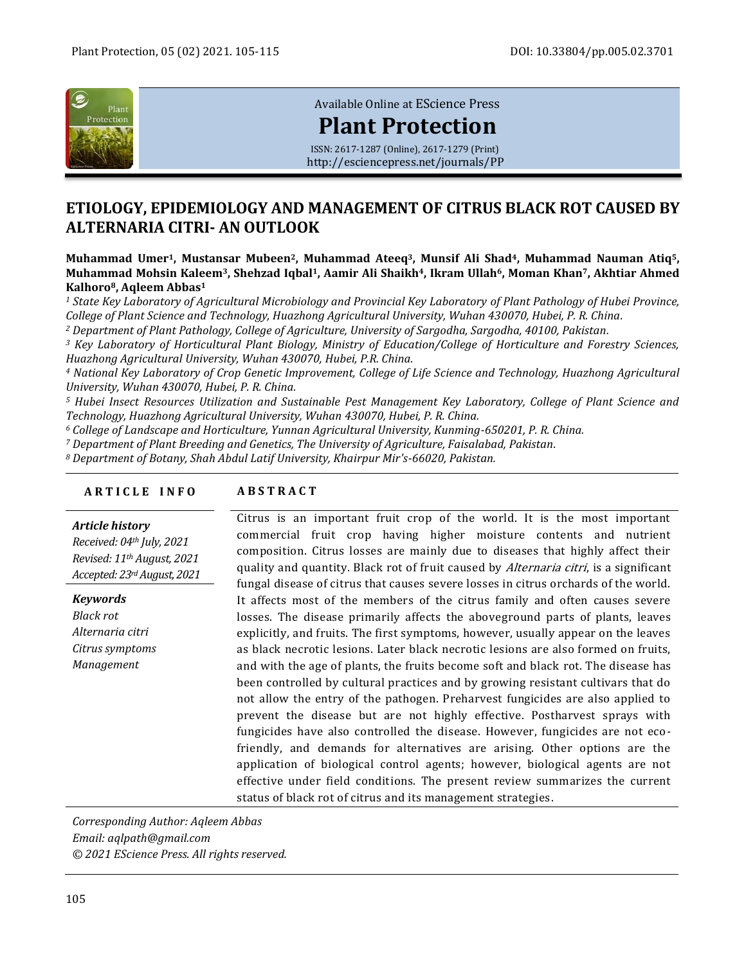

[Available Online at](http://esciencepress.net/journals/PP) EScience Press

# **[Plant Protection](http://esciencepress.net/journals/PP)**

ISSN: 2617-1287 (Online), 2617-1279 (Print) <http://esciencepress.net/journals/PP>

## **ETIOLOGY, EPIDEMIOLOGY AND MANAGEMENT OF CITRUS BLACK ROT CAUSED BY ALTERNARIA CITRI- AN OUTLOOK**

**Muhammad Umer1, Mustansar Mubeen2, Muhammad Ateeq3, Munsif Ali Shad4, Muhammad Nauman Atiq5, Muhammad Mohsin Kaleem3, Shehzad Iqbal1, Aamir Ali Shaikh4, Ikram Ullah6, Moman Khan7, Akhtiar Ahmed Kalhoro8, Aqleem Abbas<sup>1</sup>**

*<sup>1</sup> State Key Laboratory of Agricultural Microbiology and Provincial Key Laboratory of Plant Pathology of Hubei Province, College of Plant Science and Technology, Huazhong Agricultural University, Wuhan 430070, Hubei, P. R. China.*

*<sup>2</sup> Department of Plant Pathology, College of Agriculture, University of Sargodha, Sargodha, 40100, Pakistan.*

*<sup>3</sup> Key Laboratory of Horticultural Plant Biology, Ministry of Education/College of Horticulture and Forestry Sciences, Huazhong Agricultural University, Wuhan 430070, Hubei, P.R. China.*

*<sup>4</sup> National Key Laboratory of Crop Genetic Improvement, College of Life Science and Technology, Huazhong Agricultural University, Wuhan 430070, Hubei, P. R. China.*

*<sup>5</sup> Hubei Insect Resources Utilization and Sustainable Pest Management Key Laboratory, College of Plant Science and Technology, Huazhong Agricultural University, Wuhan 430070, Hubei, P. R. China.*

*<sup>6</sup> College of Landscape and Horticulture, Yunnan Agricultural University, Kunming-650201, P. R. China.*

*<sup>7</sup> Department of Plant Breeding and Genetics, The University of Agriculture, Faisalabad, Pakistan.*

*<sup>8</sup> Department of Botany, Shah Abdul Latif University, Khairpur Mir's-66020, Pakistan.*

## **A R T I C L E I N F O A B S T R A C T**

## *Article history*

*Received: 04th July, 2021 Revised: 11th August, 2021 Accepted: 23rdAugust, 2021*

*Keywords Black rot Alternaria citri Citrus symptoms Management*

Citrus is an important fruit crop of the world. It is the most important commercial fruit crop having higher moisture contents and nutrient composition. Citrus losses are mainly due to diseases that highly affect their quality and quantity. Black rot of fruit caused by *Alternaria citri*, is a significant fungal disease of citrus that causes severe losses in citrus orchards of the world. It affects most of the members of the citrus family and often causes severe losses. The disease primarily affects the aboveground parts of plants, leaves explicitly, and fruits. The first symptoms, however, usually appear on the leaves as black necrotic lesions. Later black necrotic lesions are also formed on fruits, and with the age of plants, the fruits become soft and black rot. The disease has been controlled by cultural practices and by growing resistant cultivars that do not allow the entry of the pathogen. Preharvest fungicides are also applied to prevent the disease but are not highly effective. Postharvest sprays with fungicides have also controlled the disease. However, fungicides are not ecofriendly, and demands for alternatives are arising. Other options are the application of biological control agents; however, biological agents are not effective under field conditions. The present review summarizes the current status of black rot of citrus and its management strategies.

*Corresponding Author: Aqleem Abbas Email: aqlpath@gmail.com © 2021 EScience Press. All rights reserved.*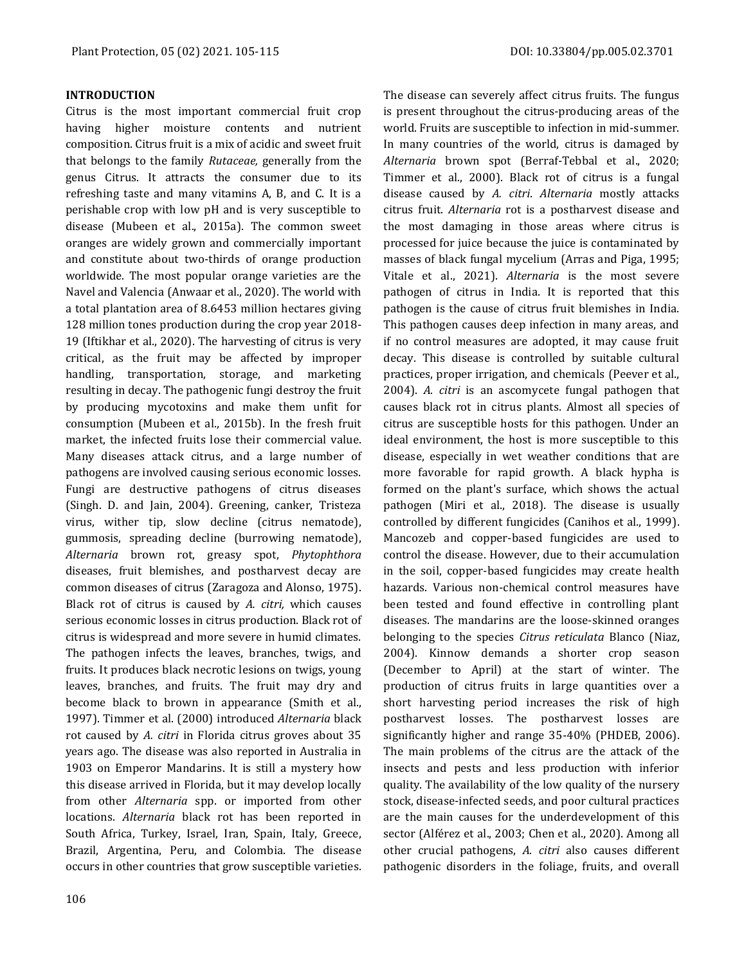The disease can severely affect citrus fruits. The fungus

## **INTRODUCTION**

Citrus is the most important commercial fruit crop having higher moisture contents and nutrient composition. Citrus fruit is a mix of acidic and sweet fruit that belongs to the family *Rutaceae,* generally from the genus Citrus. It attracts the consumer due to its refreshing taste and many vitamins A, B, and C. It is a perishable crop with low pH and is very susceptible to disease (Mubeen et al., 2015a). The common sweet oranges are widely grown and commercially important and constitute about two-thirds of orange production worldwide. The most popular orange varieties are the Navel and Valencia (Anwaar et al., 2020). The world with a total plantation area of 8.6453 million hectares giving 128 million tones production during the crop year 2018- 19 (Iftikhar et al., 2020). The harvesting of citrus is very critical, as the fruit may be affected by improper handling, transportation, storage, and marketing resulting in decay. The pathogenic fungi destroy the fruit by producing mycotoxins and make them unfit for consumption (Mubeen et al., 2015b). In the fresh fruit market, the infected fruits lose their commercial value. Many diseases attack citrus, and a large number of pathogens are involved causing serious economic losses. Fungi are destructive pathogens of citrus diseases (Singh. D. and Jain, 2004). Greening, canker, Tristeza virus, wither tip, slow decline (citrus nematode), gummosis, spreading decline (burrowing nematode), *Alternaria* brown rot, greasy spot, *Phytophthora* diseases, fruit blemishes, and postharvest decay are common diseases of citrus (Zaragoza and Alonso, 1975). Black rot of citrus is caused by *A. citri,* which causes serious economic losses in citrus production. Black rot of citrus is widespread and more severe in humid climates. The pathogen infects the leaves, branches, twigs, and fruits. It produces black necrotic lesions on twigs, young leaves, branches, and fruits. The fruit may dry and become black to brown in appearance (Smith et al., 1997). Timmer et al. (2000) introduced *Alternaria* black rot caused by *A. citri* in Florida citrus groves about 35 years ago. The disease was also reported in Australia in 1903 on Emperor Mandarins. It is still a mystery how this disease arrived in Florida, but it may develop locally from other *Alternaria* spp. or imported from other locations. *Alternaria* black rot has been reported in South Africa, Turkey, Israel, Iran, Spain, Italy, Greece, Brazil, Argentina, Peru, and Colombia. The disease occurs in other countries that grow susceptible varieties.

is present throughout the citrus-producing areas of the world. Fruits are susceptible to infection in mid-summer. In many countries of the world, citrus is damaged by *Alternaria* brown spot (Berraf-Tebbal et al., 2020; Timmer et al., 2000). Black rot of citrus is a fungal disease caused by *A. citri*. *Alternaria* mostly attacks citrus fruit. *Alternaria* rot is a postharvest disease and the most damaging in those areas where citrus is processed for juice because the juice is contaminated by masses of black fungal mycelium (Arras and Piga, 1995; Vitale et al., 2021). *Alternaria* is the most severe pathogen of citrus in India. It is reported that this pathogen is the cause of citrus fruit blemishes in India. This pathogen causes deep infection in many areas, and if no control measures are adopted, it may cause fruit decay. This disease is controlled by suitable cultural practices, proper irrigation, and chemicals (Peever et al., 2004). *A. citri* is an ascomycete fungal pathogen that causes black rot in citrus plants. Almost all species of citrus are susceptible hosts for this pathogen. Under an ideal environment, the host is more susceptible to this disease, especially in wet weather conditions that are more favorable for rapid growth. A black hypha is formed on the plant's surface, which shows the actual pathogen (Miri et al., 2018). The disease is usually controlled by different fungicides (Canihos et al., 1999). Mancozeb and copper-based fungicides are used to control the disease. However, due to their accumulation in the soil, copper-based fungicides may create health hazards. Various non-chemical control measures have been tested and found effective in controlling plant diseases. The mandarins are the loose-skinned oranges belonging to the species *Citrus reticulata* Blanco (Niaz, 2004). Kinnow demands a shorter crop season (December to April) at the start of winter. The production of citrus fruits in large quantities over a short harvesting period increases the risk of high postharvest losses. The postharvest losses are significantly higher and range 35-40% (PHDEB, 2006). The main problems of the citrus are the attack of the insects and pests and less production with inferior quality. The availability of the low quality of the nursery stock, disease-infected seeds, and poor cultural practices are the main causes for the underdevelopment of this sector (Alférez et al., 2003; Chen et al., 2020). Among all other crucial pathogens, *A. citri* also causes different pathogenic disorders in the foliage, fruits, and overall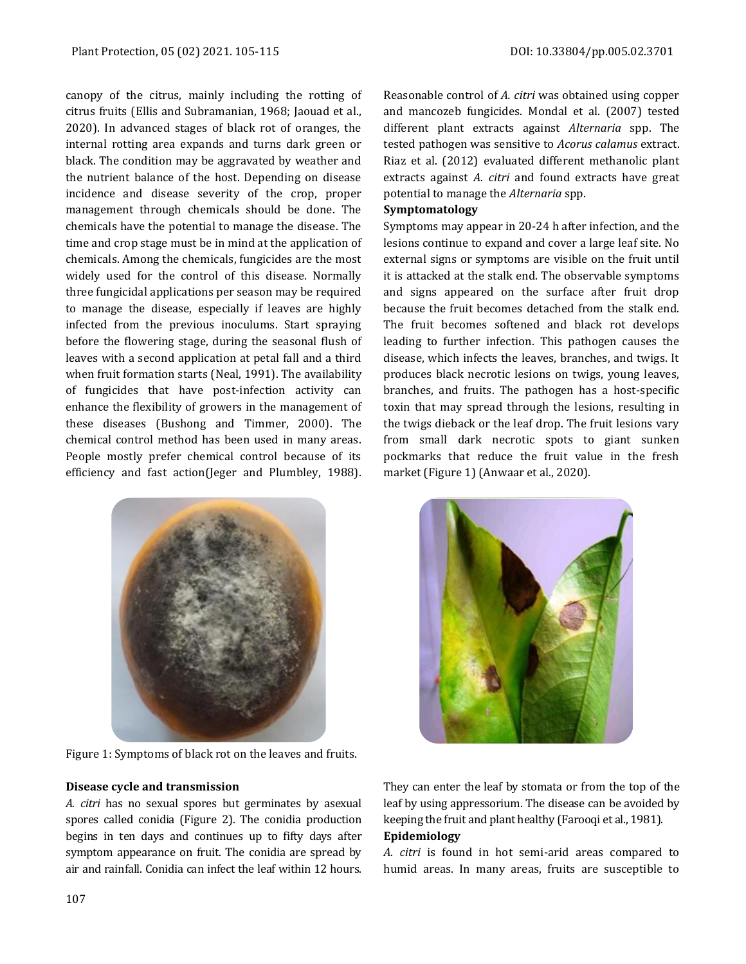canopy of the citrus, mainly including the rotting of citrus fruits (Ellis and Subramanian, 1968; Jaouad et al., 2020). In advanced stages of black rot of oranges, the internal rotting area expands and turns dark green or black. The condition may be aggravated by weather and the nutrient balance of the host. Depending on disease incidence and disease severity of the crop, proper management through chemicals should be done. The chemicals have the potential to manage the disease. The time and crop stage must be in mind at the application of chemicals. Among the chemicals, fungicides are the most widely used for the control of this disease. Normally three fungicidal applications per season may be required to manage the disease, especially if leaves are highly infected from the previous inoculums. Start spraying before the flowering stage, during the seasonal flush of leaves with a second application at petal fall and a third when fruit formation starts (Neal, 1991). The availability of fungicides that have post-infection activity can enhance the flexibility of growers in the management of these diseases (Bushong and Timmer, 2000). The chemical control method has been used in many areas. People mostly prefer chemical control because of its efficiency and fast action(Jeger and Plumbley, 1988).



Figure 1: Symptoms of black rot on the leaves and fruits.

#### **Disease cycle and transmission**

*A. citri* has no sexual spores but germinates by asexual spores called conidia (Figure 2). The conidia production begins in ten days and continues up to fifty days after symptom appearance on fruit. The conidia are spread by air and rainfall. Conidia can infect the leaf within 12 hours.

Reasonable control of *A. citri* was obtained using copper and mancozeb fungicides. Mondal et al. (2007) tested different plant extracts against *Alternaria* spp. The tested pathogen was sensitive to *Acorus calamus* extract. Riaz et al. (2012) evaluated different methanolic plant extracts against *A. citri* and found extracts have great potential to manage the *Alternaria* spp.

#### **Symptomatology**

Symptoms may appear in 20-24 h after infection, and the lesions continue to expand and cover a large leaf site. No external signs or symptoms are visible on the fruit until it is attacked at the stalk end. The observable symptoms and signs appeared on the surface after fruit drop because the fruit becomes detached from the stalk end. The fruit becomes softened and black rot develops leading to further infection. This pathogen causes the disease, which infects the leaves, branches, and twigs. It produces black necrotic lesions on twigs, young leaves, branches, and fruits. The pathogen has a host-specific toxin that may spread through the lesions, resulting in the twigs dieback or the leaf drop. The fruit lesions vary from small dark necrotic spots to giant sunken pockmarks that reduce the fruit value in the fresh market (Figure 1) (Anwaar et al., 2020).



They can enter the leaf by stomata or from the top of the leaf by using appressorium. The disease can be avoided by keeping the fruit and plant healthy (Farooqi et al., 1981). **Epidemiology**

*A. citri* is found in hot semi-arid areas compared to humid areas. In many areas, fruits are susceptible to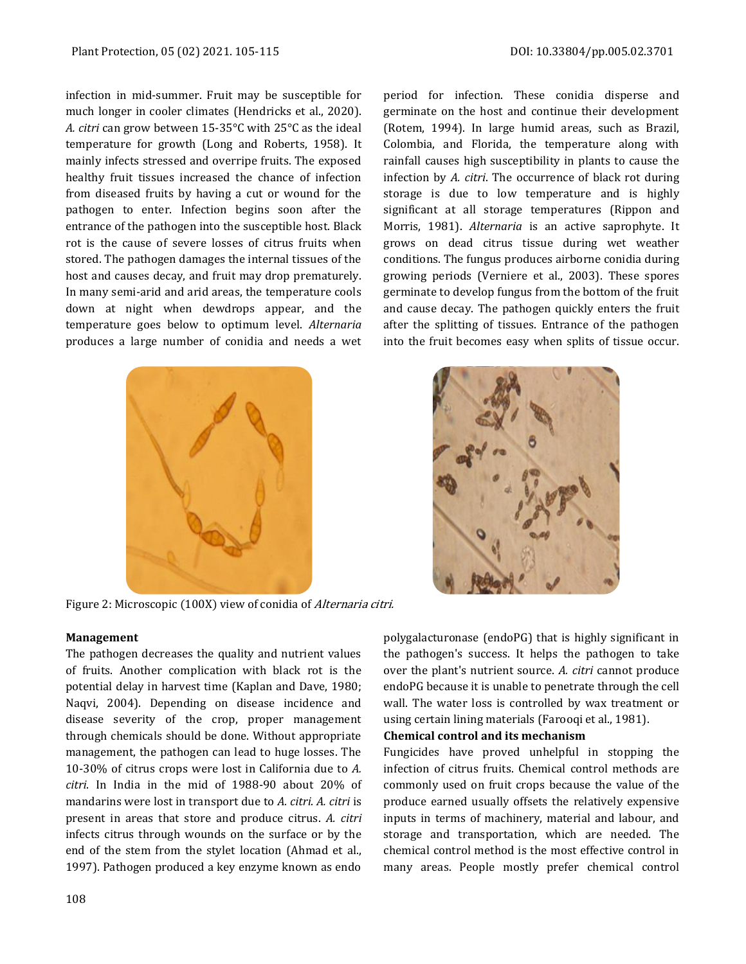infection in mid-summer. Fruit may be susceptible for much longer in cooler climates (Hendricks et al., 2020). *A. citri* can grow between 15-35°C with 25°C as the ideal temperature for growth (Long and Roberts, 1958). It mainly infects stressed and overripe fruits. The exposed healthy fruit tissues increased the chance of infection from diseased fruits by having a cut or wound for the pathogen to enter. Infection begins soon after the entrance of the pathogen into the susceptible host. Black rot is the cause of severe losses of citrus fruits when stored. The pathogen damages the internal tissues of the host and causes decay, and fruit may drop prematurely. In many semi-arid and arid areas, the temperature cools down at night when dewdrops appear, and the temperature goes below to optimum level. *Alternaria* produces a large number of conidia and needs a wet



Figure 2: Microscopic (100X) view of conidia of Alternaria citri.

period for infection. These conidia disperse and germinate on the host and continue their development (Rotem, 1994). In large humid areas, such as Brazil, Colombia, and Florida, the temperature along with rainfall causes high susceptibility in plants to cause the infection by *A. citri*. The occurrence of black rot during storage is due to low temperature and is highly significant at all storage temperatures (Rippon and Morris, 1981). *Alternaria* is an active saprophyte. It grows on dead citrus tissue during wet weather conditions. The fungus produces airborne conidia during growing periods (Verniere et al., 2003). These spores germinate to develop fungus from the bottom of the fruit and cause decay. The pathogen quickly enters the fruit after the splitting of tissues. Entrance of the pathogen into the fruit becomes easy when splits of tissue occur.



## **Management**

The pathogen decreases the quality and nutrient values of fruits. Another complication with black rot is the potential delay in harvest time (Kaplan and Dave, 1980; Naqvi, 2004). Depending on disease incidence and disease severity of the crop, proper management through chemicals should be done. Without appropriate management, the pathogen can lead to huge losses. The 10-30% of citrus crops were lost in California due to *A. citri*. In India in the mid of 1988-90 about 20% of mandarins were lost in transport due to *A. citri*. *A. citri* is present in areas that store and produce citrus. *A. citri*  infects citrus through wounds on the surface or by the end of the stem from the stylet location (Ahmad et al., 1997). Pathogen produced a key enzyme known as endo

polygalacturonase (endoPG) that is highly significant in the pathogen's success. It helps the pathogen to take over the plant's nutrient source. *A. citri* cannot produce endoPG because it is unable to penetrate through the cell wall. The water loss is controlled by wax treatment or using certain lining materials (Farooqi et al., 1981).

## **Chemical control and its mechanism**

Fungicides have proved unhelpful in stopping the infection of citrus fruits. Chemical control methods are commonly used on fruit crops because the value of the produce earned usually offsets the relatively expensive inputs in terms of machinery, material and labour, and storage and transportation, which are needed. The chemical control method is the most effective control in many areas. People mostly prefer chemical control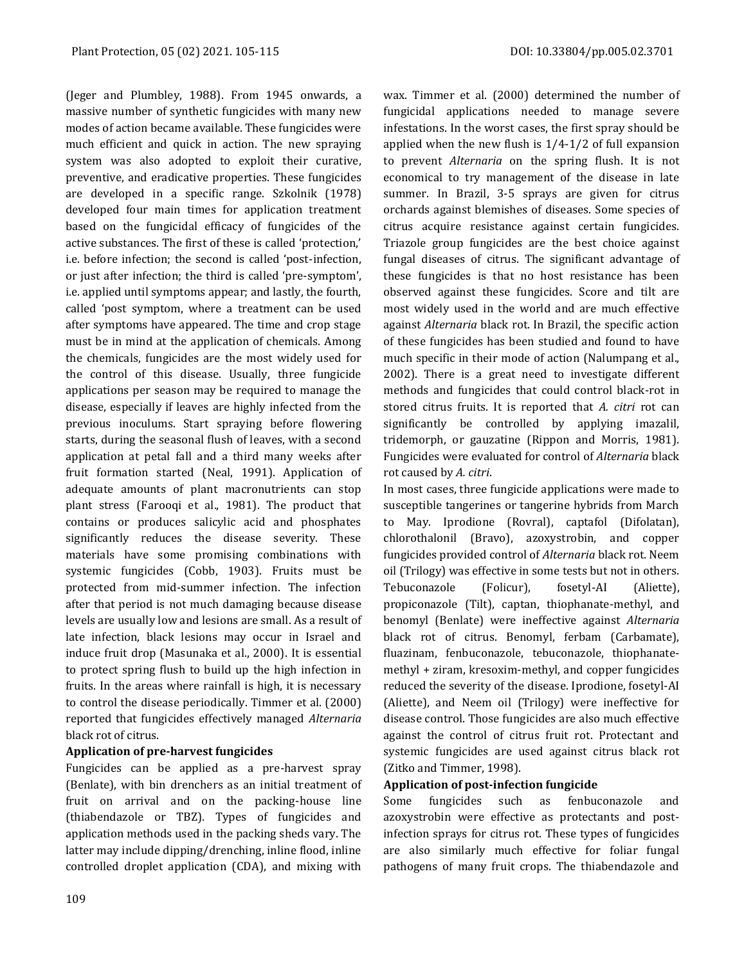(Jeger and Plumbley, 1988). From 1945 onwards, a massive number of synthetic fungicides with many new modes of action became available. These fungicides were much efficient and quick in action. The new spraying system was also adopted to exploit their curative, preventive, and eradicative properties. These fungicides are developed in a specific range. Szkolnik (1978) developed four main times for application treatment based on the fungicidal efficacy of fungicides of the active substances. The first of these is called 'protection,' i.e. before infection; the second is called 'post-infection, or just after infection; the third is called 'pre-symptom', i.e. applied until symptoms appear; and lastly, the fourth, called 'post symptom, where a treatment can be used after symptoms have appeared. The time and crop stage must be in mind at the application of chemicals. Among the chemicals, fungicides are the most widely used for the control of this disease. Usually, three fungicide applications per season may be required to manage the disease, especially if leaves are highly infected from the previous inoculums. Start spraying before flowering starts, during the seasonal flush of leaves, with a second application at petal fall and a third many weeks after fruit formation started (Neal, 1991). Application of adequate amounts of plant macronutrients can stop plant stress (Farooqi et al., 1981). The product that contains or produces salicylic acid and phosphates significantly reduces the disease severity. These materials have some promising combinations with systemic fungicides (Cobb, 1903). Fruits must be protected from mid-summer infection. The infection after that period is not much damaging because disease levels are usually low and lesions are small. As a result of late infection, black lesions may occur in Israel and induce fruit drop (Masunaka et al., 2000). It is essential to protect spring flush to build up the high infection in fruits. In the areas where rainfall is high, it is necessary to control the disease periodically. Timmer et al. (2000) reported that fungicides effectively managed *Alternaria* black rot of citrus.

## **Application of pre-harvest fungicides**

Fungicides can be applied as a pre-harvest spray (Benlate), with bin drenchers as an initial treatment of fruit on arrival and on the packing-house line (thiabendazole or TBZ). Types of fungicides and application methods used in the packing sheds vary. The latter may include dipping/drenching, inline flood, inline controlled droplet application (CDA), and mixing with

wax. Timmer et al. (2000) determined the number of fungicidal applications needed to manage severe infestations. In the worst cases, the first spray should be applied when the new flush is 1/4-1/2 of full expansion to prevent *Alternaria* on the spring flush. It is not economical to try management of the disease in late summer. In Brazil, 3-5 sprays are given for citrus orchards against blemishes of diseases. Some species of citrus acquire resistance against certain fungicides. Triazole group fungicides are the best choice against fungal diseases of citrus. The significant advantage of these fungicides is that no host resistance has been observed against these fungicides. Score and tilt are most widely used in the world and are much effective against *Alternaria* black rot. In Brazil, the specific action of these fungicides has been studied and found to have much specific in their mode of action (Nalumpang et al., 2002). There is a great need to investigate different methods and fungicides that could control black-rot in stored citrus fruits. It is reported that *A. citri* rot can significantly be controlled by applying imazalil, tridemorph, or gauzatine (Rippon and Morris, 1981). Fungicides were evaluated for control of *Alternaria* black rot caused by *A. citri*.

In most cases, three fungicide applications were made to susceptible tangerines or tangerine hybrids from March to May. Iprodione (Rovral), captafol (Difolatan), chlorothalonil (Bravo), azoxystrobin, and copper fungicides provided control of *Alternaria* black rot. Neem oil (Trilogy) was effective in some tests but not in others. Tebuconazole (Folicur), fosetyl-AI (Aliette), propiconazole (Tilt), captan, thiophanate-methyl, and benomyl (Benlate) were ineffective against *Alternaria* black rot of citrus. Benomyl, ferbam (Carbamate), fluazinam, fenbuconazole, tebuconazole, thiophanatemethyl + ziram, kresoxim-methyl, and copper fungicides reduced the severity of the disease. Iprodione, fosetyl-AI (Aliette), and Neem oil (Trilogy) were ineffective for disease control. Those fungicides are also much effective against the control of citrus fruit rot. Protectant and systemic fungicides are used against citrus black rot (Zitko and Timmer, 1998).

## **Application of post-infection fungicide**

Some fungicides such as fenbuconazole and azoxystrobin were effective as protectants and postinfection sprays for citrus rot. These types of fungicides are also similarly much effective for foliar fungal pathogens of many fruit crops. The thiabendazole and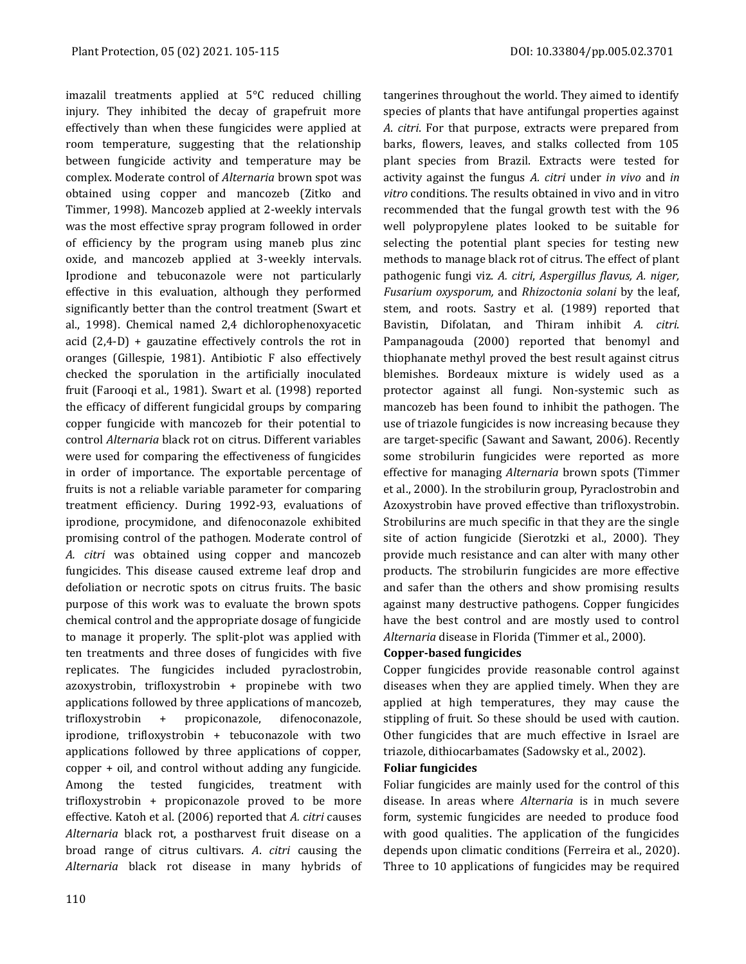imazalil treatments applied at 5°C reduced chilling injury. They inhibited the decay of grapefruit more effectively than when these fungicides were applied at room temperature, suggesting that the relationship between fungicide activity and temperature may be complex. Moderate control of *Alternaria* brown spot was obtained using copper and mancozeb (Zitko and Timmer, 1998). Mancozeb applied at 2-weekly intervals was the most effective spray program followed in order of efficiency by the program using maneb plus zinc oxide, and mancozeb applied at 3-weekly intervals. Iprodione and tebuconazole were not particularly effective in this evaluation, although they performed significantly better than the control treatment (Swart et al., 1998). Chemical named 2,4 dichlorophenoxyacetic acid (2,4-D) + gauzatine effectively controls the rot in oranges (Gillespie, 1981). Antibiotic F also effectively checked the sporulation in the artificially inoculated fruit (Farooqi et al., 1981). Swart et al. (1998) reported the efficacy of different fungicidal groups by comparing copper fungicide with mancozeb for their potential to control *Alternaria* black rot on citrus. Different variables were used for comparing the effectiveness of fungicides in order of importance. The exportable percentage of fruits is not a reliable variable parameter for comparing treatment efficiency. During 1992-93, evaluations of iprodione, procymidone, and difenoconazole exhibited promising control of the pathogen. Moderate control of *A. citri* was obtained using copper and mancozeb fungicides. This disease caused extreme leaf drop and defoliation or necrotic spots on citrus fruits. The basic purpose of this work was to evaluate the brown spots chemical control and the appropriate dosage of fungicide to manage it properly. The split-plot was applied with ten treatments and three doses of fungicides with five replicates. The fungicides included pyraclostrobin, azoxystrobin, trifloxystrobin + propinebe with two applications followed by three applications of mancozeb, trifloxystrobin + propiconazole, difenoconazole, iprodione, trifloxystrobin + tebuconazole with two applications followed by three applications of copper, copper + oil, and control without adding any fungicide. Among the tested fungicides, treatment with trifloxystrobin + propiconazole proved to be more effective. Katoh et al. (2006) reported that *A. citri* causes *Alternaria* black rot, a postharvest fruit disease on a broad range of citrus cultivars. *A*. *citri* causing the *Alternaria* black rot disease in many hybrids of tangerines throughout the world. They aimed to identify species of plants that have antifungal properties against *A*. *citri*. For that purpose, extracts were prepared from barks, flowers, leaves, and stalks collected from 105 plant species from Brazil. Extracts were tested for activity against the fungus *A. citri* under *in vivo* and *in vitro* conditions. The results obtained in vivo and in vitro recommended that the fungal growth test with the 96 well polypropylene plates looked to be suitable for selecting the potential plant species for testing new methods to manage black rot of citrus. The effect of plant pathogenic fungi viz. *A. citri*, *Aspergillus flavus, A. niger, Fusarium oxysporum,* and *Rhizoctonia solani* by the leaf, stem, and roots. Sastry et al. (1989) reported that Bavistin, Difolatan, and Thiram inhibit *A. citri*. Pampanagouda (2000) reported that benomyl and thiophanate methyl proved the best result against citrus blemishes. Bordeaux mixture is widely used as a protector against all fungi. Non-systemic such as mancozeb has been found to inhibit the pathogen. The use of triazole fungicides is now increasing because they are target-specific (Sawant and Sawant, 2006). Recently some strobilurin fungicides were reported as more effective for managing *Alternaria* brown spots (Timmer et al., 2000). In the strobilurin group, Pyraclostrobin and Azoxystrobin have proved effective than trifloxystrobin. Strobilurins are much specific in that they are the single site of action fungicide (Sierotzki et al., 2000). They provide much resistance and can alter with many other products. The strobilurin fungicides are more effective and safer than the others and show promising results against many destructive pathogens. Copper fungicides have the best control and are mostly used to control *Alternaria* disease in Florida (Timmer et al., 2000).

## **Copper-based fungicides**

Copper fungicides provide reasonable control against diseases when they are applied timely. When they are applied at high temperatures, they may cause the stippling of fruit. So these should be used with caution. Other fungicides that are much effective in Israel are triazole, dithiocarbamates (Sadowsky et al., 2002).

#### **Foliar fungicides**

Foliar fungicides are mainly used for the control of this disease. In areas where *Alternaria* is in much severe form, systemic fungicides are needed to produce food with good qualities. The application of the fungicides depends upon climatic conditions (Ferreira et al., 2020). Three to 10 applications of fungicides may be required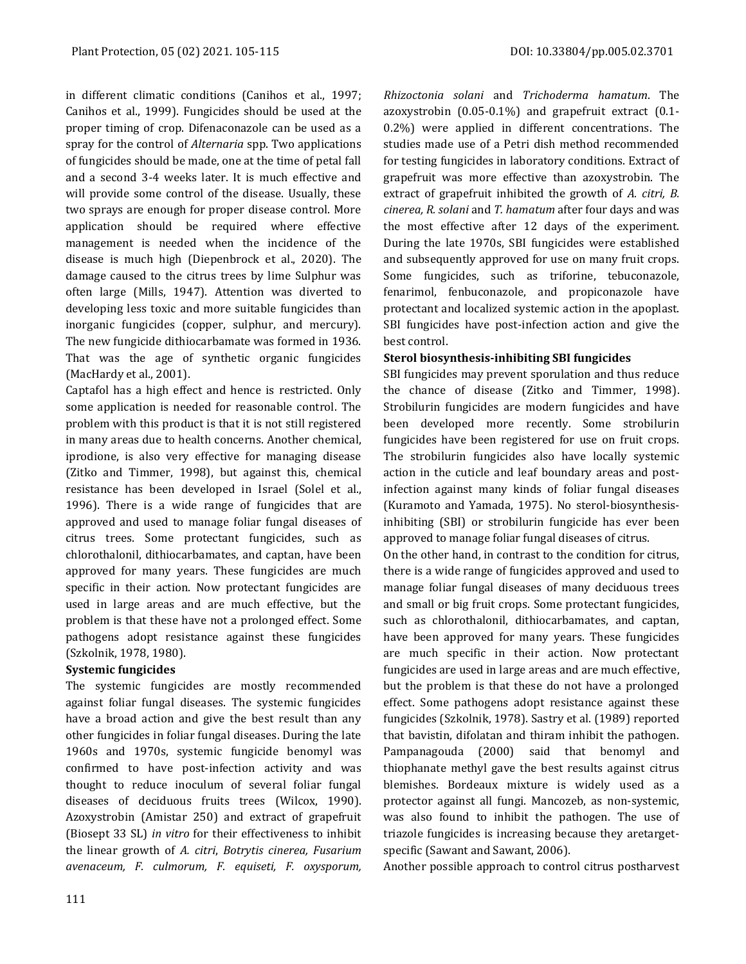in different climatic conditions (Canihos et al., 1997; Canihos et al., 1999). Fungicides should be used at the proper timing of crop. Difenaconazole can be used as a spray for the control of *Alternaria* spp. Two applications of fungicides should be made, one at the time of petal fall and a second 3-4 weeks later. It is much effective and will provide some control of the disease. Usually, these two sprays are enough for proper disease control. More application should be required where effective management is needed when the incidence of the disease is much high (Diepenbrock et al., 2020). The damage caused to the citrus trees by lime Sulphur was often large (Mills, 1947). Attention was diverted to developing less toxic and more suitable fungicides than inorganic fungicides (copper, sulphur, and mercury). The new fungicide dithiocarbamate was formed in 1936. That was the age of synthetic organic fungicides (MacHardy et al., 2001).

Captafol has a high effect and hence is restricted. Only some application is needed for reasonable control. The problem with this product is that it is not still registered in many areas due to health concerns. Another chemical, iprodione, is also very effective for managing disease (Zitko and Timmer, 1998), but against this, chemical resistance has been developed in Israel (Solel et al., 1996). There is a wide range of fungicides that are approved and used to manage foliar fungal diseases of citrus trees. Some protectant fungicides, such as chlorothalonil, dithiocarbamates, and captan, have been approved for many years. These fungicides are much specific in their action. Now protectant fungicides are used in large areas and are much effective, but the problem is that these have not a prolonged effect. Some pathogens adopt resistance against these fungicides (Szkolnik, 1978, 1980).

## **Systemic fungicides**

The systemic fungicides are mostly recommended against foliar fungal diseases. The systemic fungicides have a broad action and give the best result than any other fungicides in foliar fungal diseases. During the late 1960s and 1970s, systemic fungicide benomyl was confirmed to have post-infection activity and was thought to reduce inoculum of several foliar fungal diseases of deciduous fruits trees (Wilcox, 1990). Azoxystrobin (Amistar 250) and extract of grapefruit (Biosept 33 SL) *in vitro* for their effectiveness to inhibit the linear growth of *A. citri*, *Botrytis cinerea, Fusarium avenaceum, F. culmorum, F. equiseti, F. oxysporum,* 

*Rhizoctonia solani* and *Trichoderma hamatum*. The azoxystrobin (0.05-0.1%) and grapefruit extract (0.1- 0.2%) were applied in different concentrations. The studies made use of a Petri dish method recommended for testing fungicides in laboratory conditions. Extract of grapefruit was more effective than azoxystrobin. The extract of grapefruit inhibited the growth of *A. citri, B. cinerea, R. solani* and *T. hamatum* after four days and was the most effective after 12 days of the experiment. During the late 1970s, SBI fungicides were established and subsequently approved for use on many fruit crops. Some fungicides, such as triforine, tebuconazole, fenarimol, fenbuconazole, and propiconazole have protectant and localized systemic action in the apoplast. SBI fungicides have post-infection action and give the best control.

## **Sterol biosynthesis-inhibiting SBI fungicides**

SBI fungicides may prevent sporulation and thus reduce the chance of disease (Zitko and Timmer, 1998). Strobilurin fungicides are modern fungicides and have been developed more recently. Some strobilurin fungicides have been registered for use on fruit crops. The strobilurin fungicides also have locally systemic action in the cuticle and leaf boundary areas and postinfection against many kinds of foliar fungal diseases (Kuramoto and Yamada, 1975). No sterol-biosynthesisinhibiting (SBI) or strobilurin fungicide has ever been approved to manage foliar fungal diseases of citrus.

On the other hand, in contrast to the condition for citrus, there is a wide range of fungicides approved and used to manage foliar fungal diseases of many deciduous trees and small or big fruit crops. Some protectant fungicides, such as chlorothalonil, dithiocarbamates, and captan, have been approved for many years. These fungicides are much specific in their action. Now protectant fungicides are used in large areas and are much effective, but the problem is that these do not have a prolonged effect. Some pathogens adopt resistance against these fungicides (Szkolnik, 1978). Sastry et al. (1989) reported that bavistin, difolatan and thiram inhibit the pathogen. Pampanagouda (2000) said that benomyl and thiophanate methyl gave the best results against citrus blemishes. Bordeaux mixture is widely used as a protector against all fungi. Mancozeb, as non-systemic, was also found to inhibit the pathogen. The use of triazole fungicides is increasing because they aretargetspecific (Sawant and Sawant, 2006).

Another possible approach to control citrus postharvest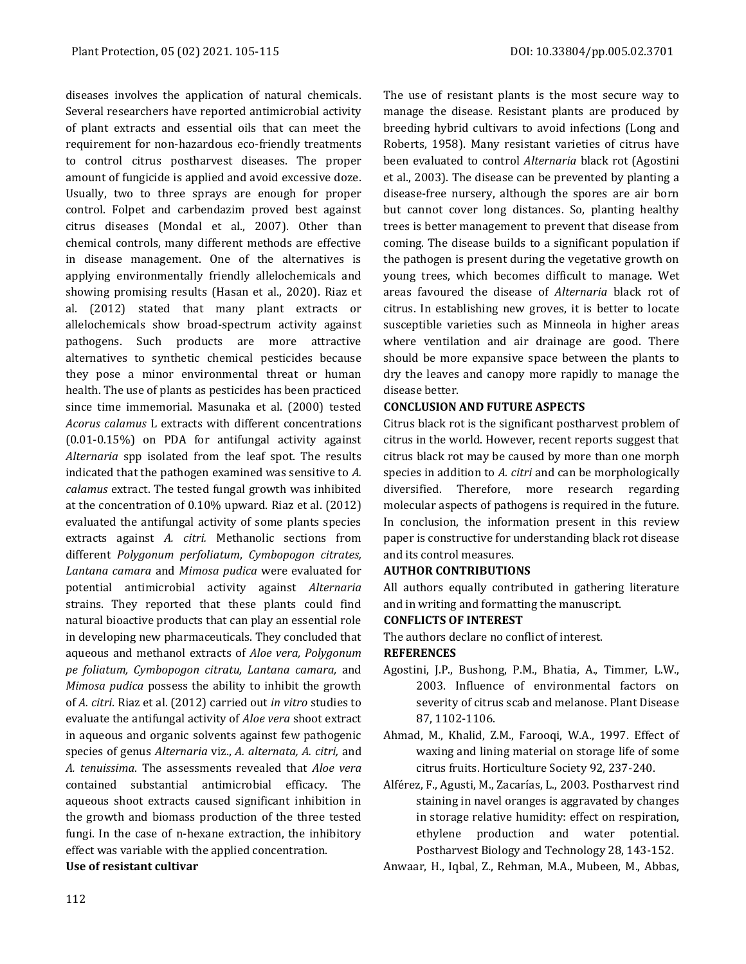diseases involves the application of natural chemicals. Several researchers have reported antimicrobial activity of plant extracts and essential oils that can meet the requirement for non-hazardous eco-friendly treatments to control citrus postharvest diseases. The proper amount of fungicide is applied and avoid excessive doze. Usually, two to three sprays are enough for proper control. Folpet and carbendazim proved best against citrus diseases (Mondal et al., 2007). Other than chemical controls, many different methods are effective in disease management. One of the alternatives is applying environmentally friendly allelochemicals and showing promising results (Hasan et al., 2020). Riaz et al. (2012) stated that many plant extracts or allelochemicals show broad-spectrum activity against pathogens. Such products are more attractive alternatives to synthetic chemical pesticides because they pose a minor environmental threat or human health. The use of plants as pesticides has been practiced since time immemorial. Masunaka et al. (2000) tested *Acorus calamus* L extracts with different concentrations (0.01-0.15%) on PDA for antifungal activity against *Alternaria* spp isolated from the leaf spot. The results indicated that the pathogen examined was sensitive to *A. calamus* extract. The tested fungal growth was inhibited at the concentration of 0.10% upward. Riaz et al. (2012) evaluated the antifungal activity of some plants species extracts against *A. citri.* Methanolic sections from different *Polygonum perfoliatum*, *Cymbopogon citrates, Lantana camara* and *Mimosa pudica* were evaluated for potential antimicrobial activity against *Alternaria* strains. They reported that these plants could find natural bioactive products that can play an essential role in developing new pharmaceuticals. They concluded that aqueous and methanol extracts of *Aloe vera, Polygonum pe foliatum, Cymbopogon citratu, Lantana camara,* and *Mimosa pudica* possess the ability to inhibit the growth of *A. citri*. Riaz et al. (2012) carried out *in vitro* studies to evaluate the antifungal activity of *Aloe vera* shoot extract in aqueous and organic solvents against few pathogenic species of genus *Alternaria* viz., *A. alternata, A. citri,* and *A. tenuissima*. The assessments revealed that *Aloe vera* contained substantial antimicrobial efficacy. The aqueous shoot extracts caused significant inhibition in the growth and biomass production of the three tested fungi. In the case of n-hexane extraction, the inhibitory effect was variable with the applied concentration.

## **Use of resistant cultivar**

The use of resistant plants is the most secure way to manage the disease. Resistant plants are produced by breeding hybrid cultivars to avoid infections (Long and Roberts, 1958). Many resistant varieties of citrus have been evaluated to control *Alternaria* black rot (Agostini et al., 2003). The disease can be prevented by planting a disease-free nursery, although the spores are air born but cannot cover long distances. So, planting healthy trees is better management to prevent that disease from coming. The disease builds to a significant population if the pathogen is present during the vegetative growth on young trees, which becomes difficult to manage. Wet areas favoured the disease of *Alternaria* black rot of citrus. In establishing new groves, it is better to locate susceptible varieties such as Minneola in higher areas where ventilation and air drainage are good. There should be more expansive space between the plants to dry the leaves and canopy more rapidly to manage the disease better.

## **CONCLUSION AND FUTURE ASPECTS**

Citrus black rot is the significant postharvest problem of citrus in the world. However, recent reports suggest that citrus black rot may be caused by more than one morph species in addition to *A. citri* and can be morphologically diversified. Therefore, more research regarding molecular aspects of pathogens is required in the future. In conclusion, the information present in this review paper is constructive for understanding black rot disease and its control measures.

## **AUTHOR CONTRIBUTIONS**

All authors equally contributed in gathering literature and in writing and formatting the manuscript.

## **CONFLICTS OF INTEREST**

The authors declare no conflict of interest.

## **REFERENCES**

- Agostini, J.P., Bushong, P.M., Bhatia, A., Timmer, L.W., 2003. Influence of environmental factors on severity of citrus scab and melanose. Plant Disease 87, 1102-1106.
- Ahmad, M., Khalid, Z.M., Farooqi, W.A., 1997. Effect of waxing and lining material on storage life of some citrus fruits. Horticulture Society 92, 237-240.
- Alférez, F., Agusti, M., Zacarías, L., 2003. Postharvest rind staining in navel oranges is aggravated by changes in storage relative humidity: effect on respiration, ethylene production and water potential. Postharvest Biology and Technology 28, 143-152.

Anwaar, H., Iqbal, Z., Rehman, M.A., Mubeen, M., Abbas,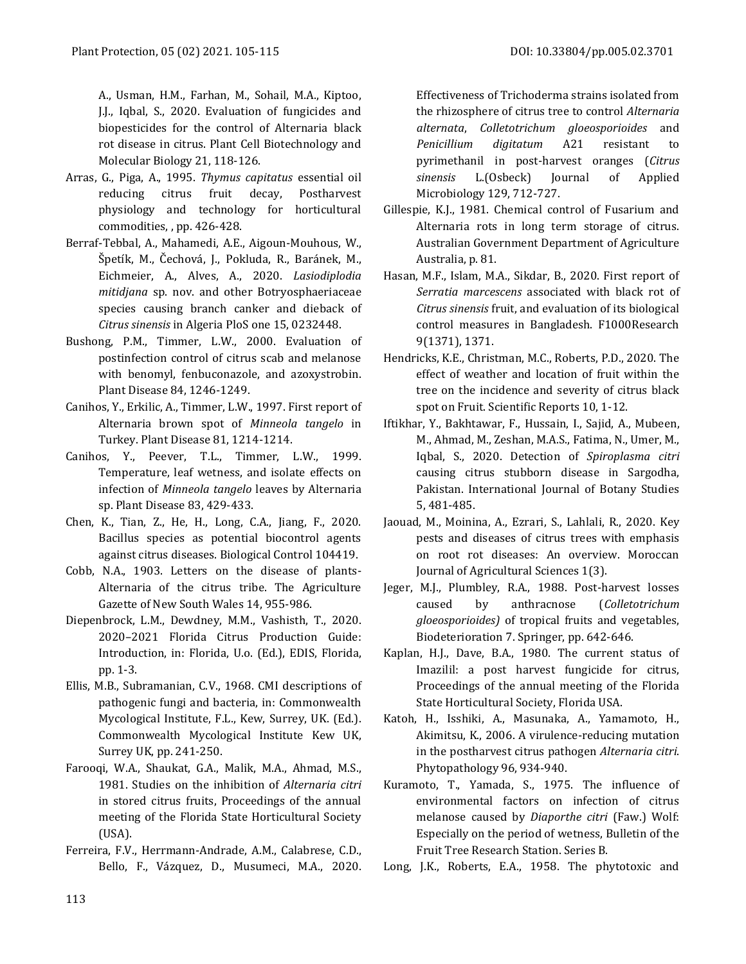A., Usman, H.M., Farhan, M., Sohail, M.A., Kiptoo, J.J., Iqbal, S., 2020. Evaluation of fungicides and biopesticides for the control of Alternaria black rot disease in citrus. Plant Cell Biotechnology and Molecular Biology 21, 118-126.

- Arras, G., Piga, A., 1995. *Thymus capitatus* essential oil reducing citrus fruit decay, Postharvest physiology and technology for horticultural commodities, , pp. 426-428.
- Berraf-Tebbal, A., Mahamedi, A.E., Aigoun-Mouhous, W., Špetík, M., Čechová, J., Pokluda, R., Baránek, M., Eichmeier, A., Alves, A., 2020. *Lasiodiplodia mitidjana* sp. nov. and other Botryosphaeriaceae species causing branch canker and dieback of *Citrus sinensis* in Algeria PloS one 15, 0232448.
- Bushong, P.M., Timmer, L.W., 2000. Evaluation of postinfection control of citrus scab and melanose with benomyl, fenbuconazole, and azoxystrobin. Plant Disease 84, 1246-1249.
- Canihos, Y., Erkilic, A., Timmer, L.W., 1997. First report of Alternaria brown spot of *Minneola tangelo* in Turkey. Plant Disease 81, 1214-1214.
- Canihos, Y., Peever, T.L., Timmer, L.W., 1999. Temperature, leaf wetness, and isolate effects on infection of *Minneola tangelo* leaves by Alternaria sp. Plant Disease 83, 429-433.
- Chen, K., Tian, Z., He, H., Long, C.A., Jiang, F., 2020. Bacillus species as potential biocontrol agents against citrus diseases. Biological Control 104419.
- Cobb, N.A., 1903. Letters on the disease of plants-Alternaria of the citrus tribe. The Agriculture Gazette of New South Wales 14, 955-986.
- Diepenbrock, L.M., Dewdney, M.M., Vashisth, T., 2020. 2020–2021 Florida Citrus Production Guide: Introduction, in: Florida, U.o. (Ed.), EDIS, Florida, pp. 1-3.
- Ellis, M.B., Subramanian, C.V., 1968. CMI descriptions of pathogenic fungi and bacteria, in: Commonwealth Mycological Institute, F.L., Kew, Surrey, UK. (Ed.). Commonwealth Mycological Institute Kew UK, Surrey UK, pp. 241-250.
- Farooqi, W.A., Shaukat, G.A., Malik, M.A., Ahmad, M.S., 1981. Studies on the inhibition of *Alternaria citri*  in stored citrus fruits, Proceedings of the annual meeting of the Florida State Horticultural Society (USA).
- Ferreira, F.V., Herrmann-Andrade, A.M., Calabrese, C.D., Bello, F., Vázquez, D., Musumeci, M.A., 2020.

Effectiveness of Trichoderma strains isolated from the rhizosphere of citrus tree to control *Alternaria alternata*, *Colletotrichum gloeosporioides* and *Penicillium digitatum* A21 resistant to pyrimethanil in post‐harvest oranges (*Citrus sinensis* L.(Osbeck) Journal of Applied Microbiology 129, 712-727.

- Gillespie, K.J., 1981. Chemical control of Fusarium and Alternaria rots in long term storage of citrus. Australian Government Department of Agriculture Australia, p. 81.
- Hasan, M.F., Islam, M.A., Sikdar, B., 2020. First report of *Serratia marcescens* associated with black rot of *Citrus sinensis* fruit, and evaluation of its biological control measures in Bangladesh. F1000Research 9(1371), 1371.
- Hendricks, K.E., Christman, M.C., Roberts, P.D., 2020. The effect of weather and location of fruit within the tree on the incidence and severity of citrus black spot on Fruit. Scientific Reports 10, 1-12.
- Iftikhar, Y., Bakhtawar, F., Hussain, I., Sajid, A., Mubeen, M., Ahmad, M., Zeshan, M.A.S., Fatima, N., Umer, M., Iqbal, S., 2020. Detection of *Spiroplasma citri*  causing citrus stubborn disease in Sargodha, Pakistan. International Journal of Botany Studies 5, 481-485.
- Jaouad, M., Moinina, A., Ezrari, S., Lahlali, R., 2020. Key pests and diseases of citrus trees with emphasis on root rot diseases: An overview. Moroccan Journal of Agricultural Sciences 1(3).
- Jeger, M.J., Plumbley, R.A., 1988. Post-harvest losses caused by anthracnose (*Colletotrichum gloeosporioides)* of tropical fruits and vegetables, Biodeterioration 7. Springer, pp. 642-646.
- Kaplan, H.J., Dave, B.A., 1980. The current status of Imazilil: a post harvest fungicide for citrus, Proceedings of the annual meeting of the Florida State Horticultural Society, Florida USA.
- Katoh, H., Isshiki, A., Masunaka, A., Yamamoto, H., Akimitsu, K., 2006. A virulence-reducing mutation in the postharvest citrus pathogen *Alternaria citri*. Phytopathology 96, 934-940.
- Kuramoto, T., Yamada, S., 1975. The influence of environmental factors on infection of citrus melanose caused by *Diaporthe citri* (Faw.) Wolf: Especially on the period of wetness, Bulletin of the Fruit Tree Research Station. Series B.

Long, J.K., Roberts, E.A., 1958. The phytotoxic and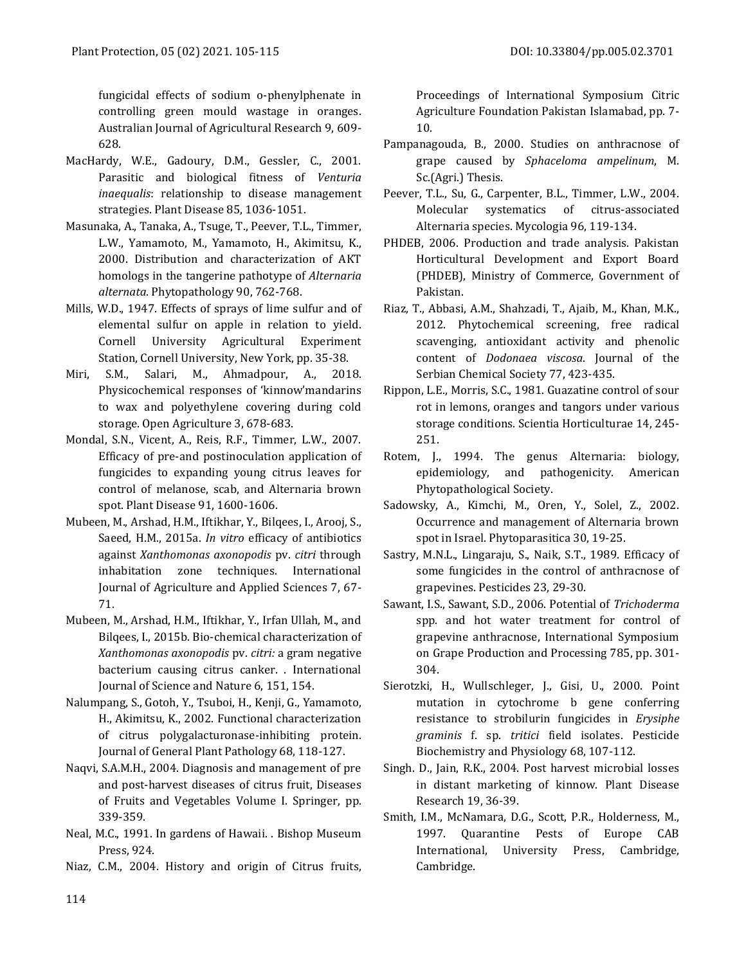fungicidal effects of sodium o-phenylphenate in controlling green mould wastage in oranges. Australian Journal of Agricultural Research 9, 609- 628.

- MacHardy, W.E., Gadoury, D.M., Gessler, C., 2001. Parasitic and biological fitness of *Venturia inaequalis*: relationship to disease management strategies. Plant Disease 85, 1036-1051.
- Masunaka, A., Tanaka, A., Tsuge, T., Peever, T.L., Timmer, L.W., Yamamoto, M., Yamamoto, H., Akimitsu, K., 2000. Distribution and characterization of AKT homologs in the tangerine pathotype of *Alternaria alternata*. Phytopathology 90, 762-768.
- Mills, W.D., 1947. Effects of sprays of lime sulfur and of elemental sulfur on apple in relation to yield. Cornell University Agricultural Experiment Station, Cornell University, New York, pp. 35-38.
- Miri, S.M., Salari, M., Ahmadpour, A., 2018. hysicochemical responses of 'kinnow'mandarins to wax and polyethylene covering during cold storage. Open Agriculture 3, 678-683.
- Mondal, S.N., Vicent, A., Reis, R.F., Timmer, L.W., 2007. Efficacy of pre-and postinoculation application of fungicides to expanding young citrus leaves for control of melanose, scab, and Alternaria brown spot. Plant Disease 91, 1600-1606.
- Mubeen, M., Arshad, H.M., Iftikhar, Y., Bilqees, I., Arooj, S., Saeed, H.M., 2015a. *In vitro* efficacy of antibiotics against *Xanthomonas axonopodis* pv. *citri* through inhabitation zone techniques. International Journal of Agriculture and Applied Sciences 7, 67- 71.
- Mubeen, M., Arshad, H.M., Iftikhar, Y., Irfan Ullah, M., and Bilqees, I., 2015b. Bio-chemical characterization of *Xanthomonas axonopodis* pv. *citri:* a gram negative bacterium causing citrus canker. . International Journal of Science and Nature 6, 151, 154.
- Nalumpang, S., Gotoh, Y., Tsuboi, H., Kenji, G., Yamamoto, H., Akimitsu, K., 2002. Functional characterization of citrus polygalacturonase-inhibiting protein. Journal of General Plant Pathology 68, 118-127.
- Naqvi, S.A.M.H., 2004. Diagnosis and management of pre and post-harvest diseases of citrus fruit, Diseases of Fruits and Vegetables Volume I. Springer, pp. 339-359.
- Neal, M.C., 1991. In gardens of Hawaii. . Bishop Museum Press, 924.
- Niaz, C.M., 2004. History and origin of Citrus fruits,

Proceedings of International Symposium Citric Agriculture Foundation Pakistan Islamabad, pp. 7- 10.

- Pampanagouda, B., 2000. Studies on anthracnose of grape caused by *Sphaceloma ampelinum*, M. Sc.(Agri.) Thesis.
- Peever, T.L., Su, G., Carpenter, B.L., Timmer, L.W., 2004. Molecular systematics of citrus-associated Alternaria species. Mycologia 96, 119-134.
- PHDEB, 2006. Production and trade analysis. Pakistan Horticultural Development and Export Board (PHDEB), Ministry of Commerce, Government of Pakistan.
- Riaz, T., Abbasi, A.M., Shahzadi, T., Ajaib, M., Khan, M.K., 2012. Phytochemical screening, free radical scavenging, antioxidant activity and phenolic content of *Dodonaea viscosa*. Journal of the Serbian Chemical Society 77, 423-435.
- Rippon, L.E., Morris, S.C., 1981. Guazatine control of sour rot in lemons, oranges and tangors under various storage conditions. Scientia Horticulturae 14, 245- 251.
- Rotem, J., 1994. The genus Alternaria: biology, epidemiology, and pathogenicity. American Phytopathological Society.
- Sadowsky, A., Kimchi, M., Oren, Y., Solel, Z., 2002. Occurrence and management of Alternaria brown spot in Israel. Phytoparasitica 30, 19-25.
- Sastry, M.N.L., Lingaraju, S., Naik, S.T., 1989. Efficacy of some fungicides in the control of anthracnose of grapevines. Pesticides 23, 29-30.
- Sawant, I.S., Sawant, S.D., 2006. Potential of *Trichoderma*  spp. and hot water treatment for control of grapevine anthracnose, International Symposium on Grape Production and Processing 785, pp. 301- 304.
- Sierotzki, H., Wullschleger, J., Gisi, U., 2000. Point mutation in cytochrome b gene conferring resistance to strobilurin fungicides in *Erysiphe graminis* f. sp. *tritici* field isolates. Pesticide Biochemistry and Physiology 68, 107-112.
- Singh. D., Jain, R.K., 2004. Post harvest microbial losses in distant marketing of kinnow. Plant Disease Research 19, 36-39.
- Smith, I.M., McNamara, D.G., Scott, P.R., Holderness, M., 1997. Quarantine Pests of Europe CAB International, University Press, Cambridge, Cambridge.